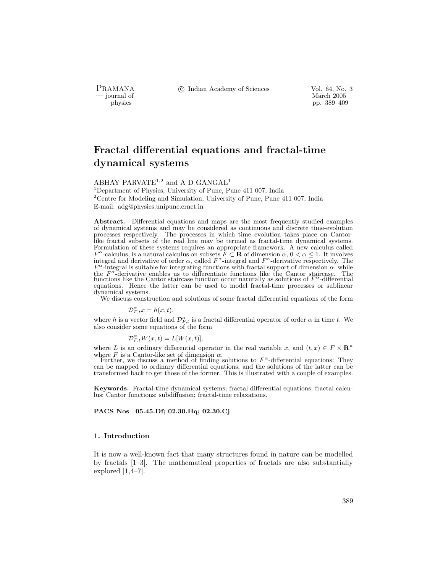PRAMANA °c Indian Academy of Sciences Vol. 64, No. 3

physics and the method of the method of the method of the March 2005 pp. 389–409 pp. 389–409 physics pp. 389–409

# Fractal differential equations and fractal-time dynamical systems

# ABHAY PARVATE<sup>1,2</sup> and A D GANGAL<sup>1</sup>

<sup>1</sup>Department of Physics, University of Pune, Pune 411 007, India <sup>2</sup>Centre for Modeling and Simulation, University of Pune, Pune 411 007, India E-mail: adg@physics.unipune.ernet.in

Abstract. Differential equations and maps are the most frequently studied examples of dynamical systems and may be considered as continuous and discrete time-evolution processes respectively. The processes in which time evolution takes place on Cantorlike fractal subsets of the real line may be termed as fractal-time dynamical systems. Formulation of these systems requires an appropriate framework. A new calculus called  $F^{\alpha}$ -calculus, is a natural calculus on subsets  $\hat{F} \subset \mathbf{R}$  of dimension  $\alpha, 0 < \alpha \leq 1$ . It involves integral and derivative of order  $\alpha$ , called  $F^{\alpha}$ -integral and  $F^{\alpha}$ -derivative respectively. The  $F^{\alpha}$ -integral is suitable for integrating functions with fractal support of dimension  $\alpha$ , while the  $F^{\alpha}$ -derivative enables us to differentiate functions like the Cantor staircase. The functions like the Cantor staircase function occur naturally as solutions of  $F^{\alpha}$ -differential equations. Hence the latter can be used to model fractal-time processes or sublinear dynamical systems.

We discuss construction and solutions of some fractal differential equations of the form

 $\mathcal{D}_{F,t}^{\alpha}x = h(x,t),$ 

where h is a vector field and  $\mathcal{D}_{F,t}^{\alpha}$  is a fractal differential operator of order  $\alpha$  in time t. We also consider some equations of the form

$$
\mathcal{D}_{F,t}^{\alpha}W(x,t) = L[W(x,t)],
$$

where L is an ordinary differential operator in the real variable x, and  $(t, x) \in F \times \mathbb{R}^n$ <br>where F is a Cantor-like set of dimension  $\alpha$ .

Further, we discuss a method of finding solutions to  $F^{\alpha}$ -differential equations: They can be mapped to ordinary differential equations, and the solutions of the latter can be transformed back to get those of the former. This is illustrated with a couple of examples.

Keywords. Fractal-time dynamical systems; fractal differential equations; fractal calculus; Cantor functions; subdiffusion; fractal-time relaxations.

PACS Nos 05.45.Df; 02.30.Hq; 02.30.Cj

# 1. Introduction

It is now a well-known fact that many structures found in nature can be modelled by fractals [1–3]. The mathematical properties of fractals are also substantially explored [1,4–7].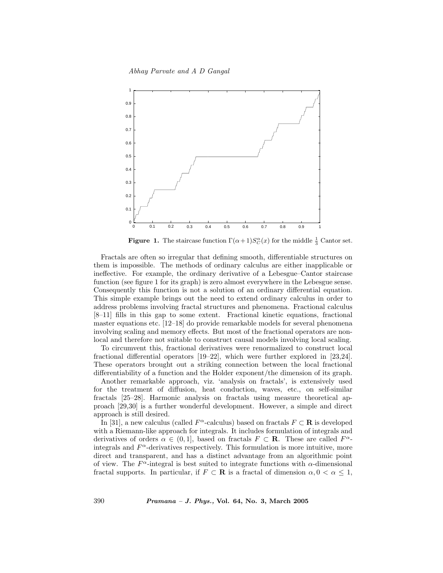Abhay Parvate and A D Gangal



**Figure 1.** The staircase function  $\Gamma(\alpha+1)S_C^{\alpha}(x)$  for the middle  $\frac{1}{3}$  Cantor set.

Fractals are often so irregular that defining smooth, differentiable structures on them is impossible. The methods of ordinary calculus are either inapplicable or ineffective. For example, the ordinary derivative of a Lebesgue–Cantor staircase function (see figure 1 for its graph) is zero almost everywhere in the Lebesgue sense. Consequently this function is not a solution of an ordinary differential equation. This simple example brings out the need to extend ordinary calculus in order to address problems involving fractal structures and phenomena. Fractional calculus [8–11] fills in this gap to some extent. Fractional kinetic equations, fractional master equations etc. [12–18] do provide remarkable models for several phenomena involving scaling and memory effects. But most of the fractional operators are nonlocal and therefore not suitable to construct causal models involving local scaling.

To circumvent this, fractional derivatives were renormalized to construct local fractional differential operators [19–22], which were further explored in [23,24]. These operators brought out a striking connection between the local fractional differentiability of a function and the Holder exponent/the dimension of its graph.

Another remarkable approach, viz. 'analysis on fractals', is extensively used for the treatment of diffusion, heat conduction, waves, etc., on self-similar fractals [25–28]. Harmonic analysis on fractals using measure theoretical approach [29,30] is a further wonderful development. However, a simple and direct approach is still desired.

In [31], a new calculus (called  $F^{\alpha}$ -calculus) based on fractals  $F \subset \mathbf{R}$  is developed with a Riemann-like approach for integrals. It includes formulation of integrals and derivatives of orders  $\alpha \in (0,1]$ , based on fractals  $F \subset \mathbf{R}$ . These are called  $F^{\alpha}$ integrals and  $F^{\alpha}$ -derivatives respectively. This formulation is more intuitive, more direct and transparent, and has a distinct advantage from an algorithmic point of view. The  $F^{\alpha}$ -integral is best suited to integrate functions with  $\alpha$ -dimensional fractal supports. In particular, if  $F \subset \mathbf{R}$  is a fractal of dimension  $\alpha, 0 < \alpha \leq 1$ ,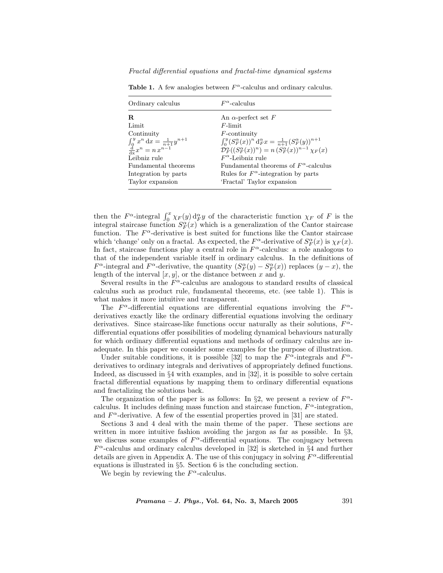| Ordinary calculus                                                           | $F^{\alpha}$ -calculus                                                                |
|-----------------------------------------------------------------------------|---------------------------------------------------------------------------------------|
| R.                                                                          | An $\alpha$ -perfect set F                                                            |
| Limit                                                                       | $F$ -limit                                                                            |
| Continuity                                                                  | $F$ -continuity                                                                       |
| $\int_0^y x^n dx = \frac{1}{n+1} y^{n+1}$<br>$\frac{d}{dx} x^n = n x^{n-1}$ | $\int_0^y (S_F^{\alpha}(x))^n d_F^{\alpha} x = \frac{1}{n+1} (S_F^{\alpha}(y))^{n+1}$ |
|                                                                             | $\mathcal{D}_F^{\alpha}((S_F^{\alpha}(x))^n)=n(S_F^{\alpha}(x))^{n-1}\chi_F(x)$       |
| Leibniz rule                                                                | $F^{\alpha}$ -Leibniz rule                                                            |
| Fundamental theorems                                                        | Fundamental theorems of $F^{\alpha}$ -calculus                                        |
| Integration by parts                                                        | Rules for $F^{\alpha}$ -integration by parts                                          |
| Taylor expansion                                                            | 'Fractal' Taylor expansion                                                            |

Table 1. A few analogies between  $F^{\alpha}$ -calculus and ordinary calculus.

then the  $F^{\alpha}$ -integral  $\int_0^x \chi_F(y) d_F^{\alpha} y$  of the characteristic function  $\chi_F$  of F is the integral staircase function  $S_F^{\alpha}(x)$  which is a generalization of the Cantor staircase function. The  $F^{\alpha}$ -derivative is best suited for functions like the Cantor staircase which 'change' only on a fractal. As expected, the  $F^{\alpha}$ -derivative of  $S_F^{\alpha}(x)$  is  $\chi_F(x)$ . In fact, staircase functions play a central role in  $F^{\alpha}$ -calculus: a role analogous to that of the independent variable itself in ordinary calculus. In the definitions of  $F^{\alpha}$ -integral and  $F^{\alpha}$ -derivative, the quantity  $(S_F^{\alpha}(y) - S_F^{\alpha}(x))$  replaces  $(y - x)$ , the length of the interval  $[x, y]$ , or the distance between x and y.

Several results in the  $F^{\alpha}$ -calculus are analogous to standard results of classical calculus such as product rule, fundamental theorems, etc. (see table 1). This is what makes it more intuitive and transparent.

The  $F^{\alpha}$ -differential equations are differential equations involving the  $F^{\alpha}$ derivatives exactly like the ordinary differential equations involving the ordinary derivatives. Since staircase-like functions occur naturally as their solutions,  $F^{\alpha}$ differential equations offer possibilities of modeling dynamical behaviours naturally for which ordinary differential equations and methods of ordinary calculus are inadequate. In this paper we consider some examples for the purpose of illustration.

Under suitable conditions, it is possible [32] to map the  $F^{\alpha}$ -integrals and  $F^{\alpha}$ derivatives to ordinary integrals and derivatives of appropriately defined functions. Indeed, as discussed in §4 with examples, and in [32], it is possible to solve certain fractal differential equations by mapping them to ordinary differential equations and fractalizing the solutions back.

The organization of the paper is as follows: In §2, we present a review of  $F^{\alpha}$ calculus. It includes defining mass function and staircase function,  $F^{\alpha}$ -integration, and  $F^{\alpha}$ -derivative. A few of the essential properties proved in [31] are stated.

Sections 3 and 4 deal with the main theme of the paper. These sections are written in more intuitive fashion avoiding the jargon as far as possible. In  $\S$ 3, we discuss some examples of  $F^{\alpha}$ -differential equations. The conjugacy between  $F^{\alpha}$ -calculus and ordinary calculus developed in [32] is sketched in §4 and further details are given in Appendix A. The use of this conjugacy in solving  $F^{\alpha}$ -differential equations is illustrated in §5. Section 6 is the concluding section.

We begin by reviewing the  $F^{\alpha}$ -calculus.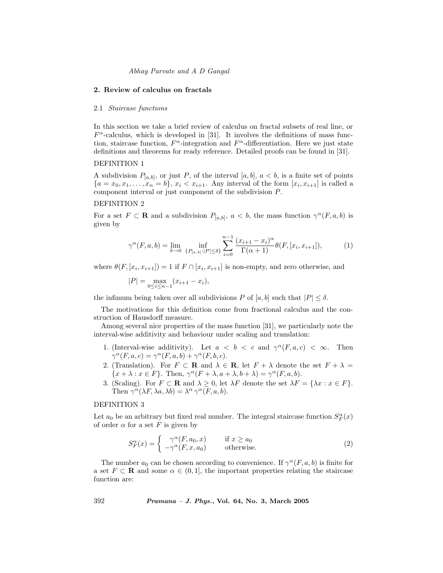#### 2. Review of calculus on fractals

#### 2.1 Staircase functions

In this section we take a brief review of calculus on fractal subsets of real line, or  $F^{\alpha}$ -calculus, which is developed in [31]. It involves the definitions of mass function, staircase function,  $F^{\alpha}$ -integration and  $F^{\alpha}$ -differentiation. Here we just state definitions and theorems for ready reference. Detailed proofs can be found in [31].

#### DEFINITION 1

A subdivision  $P_{[a,b]}$ , or just P, of the interval  $[a,b]$ ,  $a < b$ , is a finite set of points  ${a = x_0, x_1, \ldots, x_n = b}$ ,  $x_i < x_{i+1}$ . Any interval of the form  $[x_i, x_{i+1}]$  is called a component interval or just component of the subdivision P.

#### DEFINITION 2

For a set  $F \subset \mathbf{R}$  and a subdivision  $P_{[a,b]}$ ,  $a < b$ , the mass function  $\gamma^{\alpha}(F, a, b)$  is given by

$$
\gamma^{\alpha}(F, a, b) = \lim_{\delta \to 0} \inf_{\{P_{[a, b]}: |P| \le \delta\}} \sum_{i=0}^{n-1} \frac{(x_{i+1} - x_i)^{\alpha}}{\Gamma(\alpha + 1)} \theta(F, [x_i, x_{i+1}]),\tag{1}
$$

where  $\theta(F, [x_i, x_{i+1}]) = 1$  if  $F \cap [x_i, x_{i+1}]$  is non-empty, and zero otherwise, and

 $|P| = \max_{0 \le i \le n-1} (x_{i+1} - x_i),$ 

the infimum being taken over all subdivisions P of  $[a, b]$  such that  $|P| \leq \delta$ .

The motivations for this definition come from fractional calculus and the construction of Hausdorff measure.

Among several nice properties of the mass function [31], we particularly note the interval-wise additivity and behaviour under scaling and translation:

- 1. (Interval-wise additivity). Let  $a < b < c$  and  $\gamma^{\alpha}(F, a, c) < \infty$ . Then  $\gamma^{\alpha}(F, a, c) = \gamma^{\alpha}(F, a, b) + \gamma^{\alpha}(F, b, c).$
- 2. (Translation). For  $F \subset \mathbf{R}$  and  $\lambda \in \mathbf{R}$ , let  $F + \lambda$  denote the set  $F + \lambda =$  ${x + \lambda : x \in F}$ . Then,  $\gamma^{\alpha}(F + \lambda, a + \lambda, b + \lambda) = \gamma^{\alpha}(F, a, b)$ .
- 3. (Scaling). For  $F \subset \mathbf{R}$  and  $\lambda \geq 0$ , let  $\lambda F$  denote the set  $\lambda F = {\lambda x : x \in F}$ . Then  $\gamma^{\alpha}(\lambda F, \lambda a, \lambda b) = \lambda^{\alpha} \gamma^{\alpha}(F, a, b).$

### DEFINITION 3

Let  $a_0$  be an arbitrary but fixed real number. The integral staircase function  $S_F^{\alpha}(x)$ of order  $\alpha$  for a set F is given by

$$
S_F^{\alpha}(x) = \begin{cases} \gamma^{\alpha}(F, a_0, x) & \text{if } x \ge a_0 \\ -\gamma^{\alpha}(F, x, a_0) & \text{otherwise.} \end{cases}
$$
 (2)

The number  $a_0$  can be chosen according to convenience. If  $\gamma^{\alpha}(F, a, b)$  is finite for a set  $F \subset \mathbf{R}$  and some  $\alpha \in (0,1]$ , the important properties relating the staircase function are: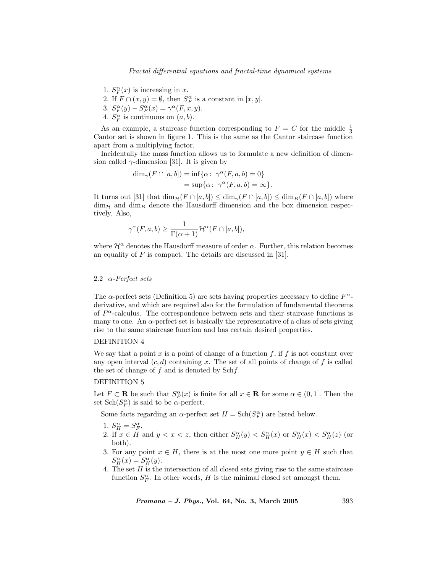- 1.  $S_F^{\alpha}(x)$  is increasing in x.
- 2. If  $F \cap (x, y) = \emptyset$ , then  $S_F^{\alpha}$  is a constant in  $[x, y]$ .
- 3.  $S_F^{\alpha}(y) S_F^{\alpha}(x) = \gamma^{\alpha}(F, x, y).$
- 4.  $S_F^{\alpha}$  is continuous on  $(a, b)$ .

As an example, a staircase function corresponding to  $F = C$  for the middle  $\frac{1}{3}$ Cantor set is shown in figure 1. This is the same as the Cantor staircase function apart from a multiplying factor.

Incidentally the mass function allows us to formulate a new definition of dimension called  $\gamma$ -dimension [31]. It is given by

$$
\dim_{\gamma}(F \cap [a, b]) = \inf \{ \alpha \colon \gamma^{\alpha}(F, a, b) = 0 \}
$$

$$
= \sup \{ \alpha \colon \gamma^{\alpha}(F, a, b) = \infty \}.
$$

It turns out [31] that  $\dim_{\mathcal{H}}(F \cap [a, b]) \leq \dim_{\gamma}(F \cap [a, b]) \leq \dim_{B}(F \cap [a, b])$  where  $\dim_{\mathcal{H}}$  and  $\dim_B$  denote the Hausdorff dimension and the box dimension respectively. Also,

$$
\gamma^{\alpha}(F, a, b) \ge \frac{1}{\Gamma(\alpha + 1)} \mathcal{H}^{\alpha}(F \cap [a, b]),
$$

where  $\mathcal{H}^{\alpha}$  denotes the Hausdorff measure of order  $\alpha$ . Further, this relation becomes an equality of  $F$  is compact. The details are discussed in [31].

### 2.2  $\alpha$ -Perfect sets

The  $\alpha$ -perfect sets (Definition 5) are sets having properties necessary to define  $F^{\alpha}$ derivative, and which are required also for the formulation of fundamental theorems of  $F^{\alpha}$ -calculus. The correspondence between sets and their staircase functions is many to one. An  $\alpha$ -perfect set is basically the representative of a class of sets giving rise to the same staircase function and has certain desired properties.

#### DEFINITION 4

We say that a point  $x$  is a point of change of a function  $f$ , if  $f$  is not constant over any open interval  $(c, d)$  containing x. The set of all points of change of f is called the set of change of  $f$  and is denoted by  $\text{Sch } f$ .

#### DEFINITION 5

Let  $F \subset \mathbf{R}$  be such that  $S_F^{\alpha}(x)$  is finite for all  $x \in \mathbf{R}$  for some  $\alpha \in (0,1]$ . Then the set  $\text{Sch}(S_F^{\alpha})$  is said to be  $\alpha$ -perfect.

Some facts regarding an  $\alpha$ -perfect set  $H = \text{Sch}(S_F^{\alpha})$  are listed below.

- 1.  $S_H^{\alpha} = S_F^{\alpha}$ .
- 2. If  $x \in H$  and  $y < x < z$ , then either  $S_H^{\alpha}(y) < S_H^{\alpha}(x)$  or  $S_H^{\alpha}(x) < S_H^{\alpha}(z)$  (or both).
- 3. For any point  $x \in H$ , there is at the most one more point  $y \in H$  such that  $S_H^{\alpha}(x) = S_H^{\alpha}(y).$
- 4. The set  $H$  is the intersection of all closed sets giving rise to the same staircase function  $S_F^{\alpha}$ . In other words, H is the minimal closed set amongst them.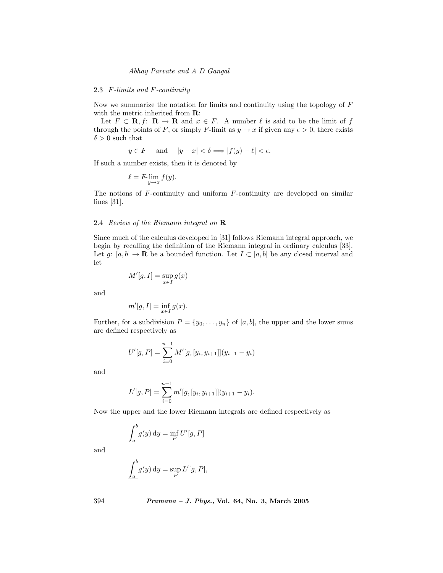#### 2.3 F-limits and F-continuity

Now we summarize the notation for limits and continuity using the topology of  $F$ with the metric inherited from  $\mathbf{R}$ :

Let  $F \subset \mathbf{R}, f: \mathbf{R} \to \mathbf{R}$  and  $x \in F$ . A number  $\ell$  is said to be the limit of f through the points of F, or simply F-limit as  $y \to x$  if given any  $\epsilon > 0$ , there exists  $\delta > 0$  such that

$$
y \in F
$$
 and  $|y - x| < \delta \Longrightarrow |f(y) - \ell| < \epsilon$ .

If such a number exists, then it is denoted by

$$
\ell = F\lim_{y \to x} f(y).
$$

The notions of F-continuity and uniform F-continuity are developed on similar lines [31].

### 2.4 Review of the Riemann integral on R

Since much of the calculus developed in [31] follows Riemann integral approach, we begin by recalling the definition of the Riemann integral in ordinary calculus [33]. Let  $g: [a, b] \to \mathbf{R}$  be a bounded function. Let  $I \subset [a, b]$  be any closed interval and let

$$
M'[g, I] = \sup_{x \in I} g(x)
$$

and

$$
m'[g, I] = \inf_{x \in I} g(x).
$$

Further, for a subdivision  $P = \{y_0, \ldots, y_n\}$  of  $[a, b]$ , the upper and the lower sums are defined respectively as

$$
U'[g, P] = \sum_{i=0}^{n-1} M'[g, [y_i, y_{i+1}]](y_{i+1} - y_i)
$$

and

$$
L'[g, P] = \sum_{i=0}^{n-1} m'[g, [y_i, y_{i+1}]](y_{i+1} - y_i).
$$

Now the upper and the lower Riemann integrals are defined respectively as

$$
\overline{\int_a^b} g(y) \, dy = \inf_P U'[g, P]
$$

and

$$
\underline{\int_a^b} g(y) \, dy = \sup_P L'[g, P],
$$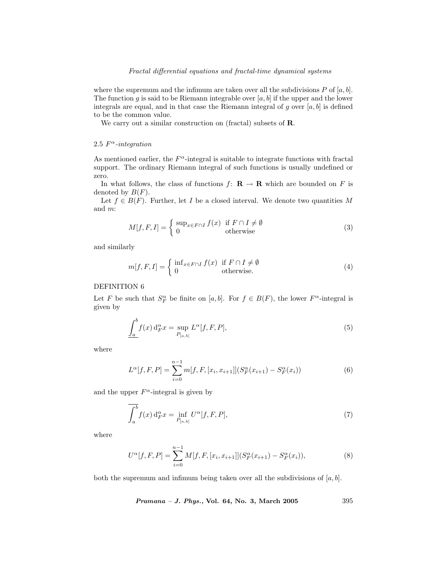where the supremum and the infimum are taken over all the subdivisions P of  $[a, b]$ . The function g is said to be Riemann integrable over  $[a, b]$  if the upper and the lower integrals are equal, and in that case the Riemann integral of g over  $[a, b]$  is defined to be the common value.

We carry out a similar construction on (fractal) subsets of **R**.

# 2.5  $F^{\alpha}$ -integration

As mentioned earlier, the  $F^{\alpha}$ -integral is suitable to integrate functions with fractal support. The ordinary Riemann integral of such functions is usually undefined or zero.

In what follows, the class of functions  $f: \mathbf{R} \to \mathbf{R}$  which are bounded on F is denoted by  $B(F)$ .

Let  $f \in B(F)$ . Further, let I be a closed interval. We denote two quantities M and m:

$$
M[f, F, I] = \begin{cases} \sup_{x \in F \cap I} f(x) & \text{if } F \cap I \neq \emptyset \\ 0 & \text{otherwise} \end{cases}
$$
 (3)

and similarly

$$
m[f, F, I] = \begin{cases} \inf_{x \in F \cap I} f(x) & \text{if } F \cap I \neq \emptyset \\ 0 & \text{otherwise.} \end{cases}
$$
 (4)

# DEFINITION 6

Let F be such that  $S_F^{\alpha}$  be finite on [a, b]. For  $f \in B(F)$ , the lower  $F^{\alpha}$ -integral is given by

$$
\underline{\int_{a}^{b}} f(x) d_{F}^{\alpha} x = \sup_{P_{[a,b]}} L^{\alpha}[f, F, P], \tag{5}
$$

where

$$
L^{\alpha}[f, F, P] = \sum_{i=0}^{n-1} m[f, F, [x_i, x_{i+1}]](S_F^{\alpha}(x_{i+1}) - S_F^{\alpha}(x_i))
$$
(6)

and the upper  $F^{\alpha}$ -integral is given by

$$
\overline{\int_{a}^{b}} f(x) d_{F}^{\alpha} x = \inf_{P_{[a,b]}} U^{\alpha}[f, F, P], \qquad (7)
$$

where

$$
U^{\alpha}[f, F, P] = \sum_{i=0}^{n-1} M[f, F, [x_i, x_{i+1}]](S_F^{\alpha}(x_{i+1}) - S_F^{\alpha}(x_i)),
$$
\n(8)

both the supremum and infimum being taken over all the subdivisions of  $[a, b]$ .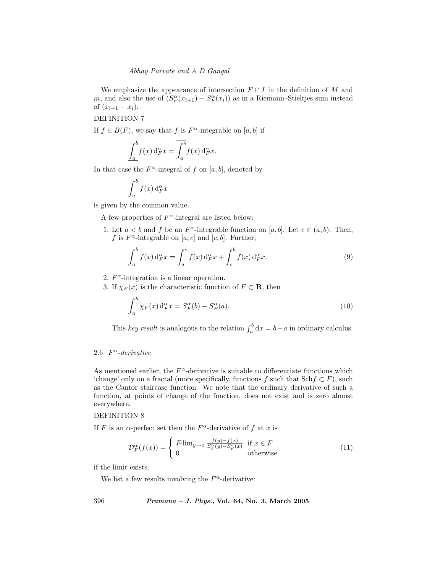We emphasize the appearance of intersection  $F \cap I$  in the definition of M and m, and also the use of  $(S_F^{\alpha}(x_{i+1}) - S_F^{\alpha}(x_i))$  as in a Riemann–Stieltjes sum instead of  $(x_{i+1} - x_i)$ .

DEFINITION 7

If  $f \in B(F)$ , we say that f is  $F^{\alpha}$ -integrable on [a, b] if

$$
\int_a^b f(x) d_F^{\alpha} x = \overline{\int_a^b} f(x) d_F^{\alpha} x.
$$

In that case the  $F^{\alpha}$ -integral of f on [a, b], denoted by

$$
\int_a^b f(x) \, \mathrm{d}_F^\alpha x
$$

is given by the common value.

A few properties of  $F^{\alpha}$ -integral are listed below:

1. Let  $a < b$  and f be an  $F^{\alpha}$ -integrable function on [a, b]. Let  $c \in (a, b)$ . Then, f is  $F^{\alpha}$ -integrable on [a, c] and [c, b]. Further,

$$
\int_{a}^{b} f(x) d_F^{\alpha} x = \int_{a}^{c} f(x) d_F^{\alpha} x + \int_{c}^{b} f(x) d_F^{\alpha} x.
$$
 (9)

2.  $F^{\alpha}$ -integration is a linear operation.

3. If  $\chi_F(x)$  is the characteristic function of  $F \subset \mathbf{R}$ , then

$$
\int_{a}^{b} \chi_F(x) d_F^{\alpha} x = S_F^{\alpha}(b) - S_F^{\alpha}(a). \tag{10}
$$

This key result is analogous to the relation  $\int_a^b dx = b-a$  in ordinary calculus.

# 2.6  $F^{\alpha}$ -derivative

As mentioned earlier, the  $F^{\alpha}$ -derivative is suitable to differentiate functions which 'change' only on a fractal (more specifically, functions f such that  $\text{Sch } f \subset F$ ), such as the Cantor staircase function. We note that the ordinary derivative of such a function, at points of change of the function, does not exist and is zero almost everywhere.

#### DEFINITION 8

If F is an  $\alpha$ -perfect set then the  $F^{\alpha}$ -derivative of f at x is

$$
\mathcal{D}_F^{\alpha}(f(x)) = \begin{cases} F\lim_{y \to x} \frac{f(y) - f(x)}{S_F^{\alpha}(y) - S_F^{\alpha}(x)} & \text{if } x \in F \\ 0 & \text{otherwise} \end{cases}
$$
(11)

if the limit exists.

We list a few results involving the  $F^{\alpha}$ -derivative: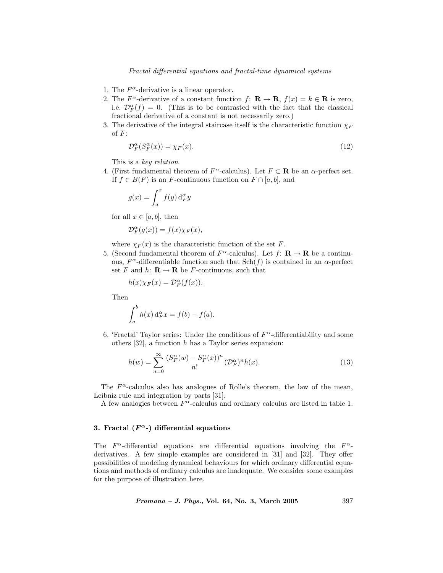- 1. The  $F^{\alpha}$ -derivative is a linear operator.
- 2. The  $F^{\alpha}$ -derivative of a constant function  $f: \mathbf{R} \to \mathbf{R}$ ,  $f(x) = k \in \mathbf{R}$  is zero, i.e.  $\mathcal{D}_F^{\alpha}(f) = 0$ . (This is to be contrasted with the fact that the classical fractional derivative of a constant is not necessarily zero.)
- 3. The derivative of the integral staircase itself is the characteristic function  $\chi_F$ of  $F$ :

$$
\mathcal{D}_F^{\alpha}(S_F^{\alpha}(x)) = \chi_F(x). \tag{12}
$$

This is a key relation.

4. (First fundamental theorem of  $F^{\alpha}$ -calculus). Let  $F \subset \mathbf{R}$  be an  $\alpha$ -perfect set. If  $f \in B(F)$  is an F-continuous function on  $F \cap [a, b]$ , and

$$
g(x) = \int_a^x f(y) \, \mathrm{d}_F^\alpha y
$$

for all  $x \in [a, b]$ , then

$$
\mathcal{D}_F^{\alpha}(g(x)) = f(x) \chi_F(x),
$$

where  $\chi_F(x)$  is the characteristic function of the set F.

5. (Second fundamental theorem of  $F^{\alpha}$ -calculus). Let  $f: \mathbf{R} \to \mathbf{R}$  be a continuous,  $F^{\alpha}$ -differentiable function such that  $\text{Sch}(f)$  is contained in an  $\alpha$ -perfect set F and h:  $\mathbf{R} \to \mathbf{R}$  be F-continuous, such that

$$
h(x)\chi_F(x)=\mathcal{D}_F^\alpha(f(x)).
$$

Then

$$
\int_a^b h(x) d_F^{\alpha} x = f(b) - f(a).
$$

6. 'Fractal' Taylor series: Under the conditions of  $F^{\alpha}$ -differentiability and some others  $[32]$ , a function h has a Taylor series expansion:

$$
h(w) = \sum_{n=0}^{\infty} \frac{(S_F^{\alpha}(w) - S_F^{\alpha}(x))^n}{n!} (\mathcal{D}_F^{\alpha})^n h(x).
$$
 (13)

The  $F^{\alpha}$ -calculus also has analogues of Rolle's theorem, the law of the mean, Leibniz rule and integration by parts [31].

A few analogies between  $F^{\alpha}$ -calculus and ordinary calculus are listed in table 1.

# 3. Fractal  $(F^{\alpha})$  differential equations

The  $F^{\alpha}$ -differential equations are differential equations involving the  $F^{\alpha}$ derivatives. A few simple examples are considered in [31] and [32]. They offer possibilities of modeling dynamical behaviours for which ordinary differential equations and methods of ordinary calculus are inadequate. We consider some examples for the purpose of illustration here.

Pramana – J. Phys., Vol. 64, No. 3, March 2005 397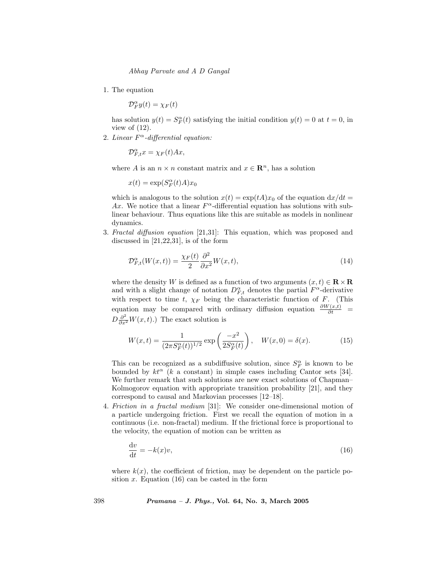1. The equation

 $\mathcal{D}_F^{\alpha} y(t) = \chi_F(t)$ 

has solution  $y(t) = S_F^{\alpha}(t)$  satisfying the initial condition  $y(t) = 0$  at  $t = 0$ , in view of  $(12)$ .

2. Linear  $F^{\alpha}$ -differential equation:

 $\mathcal{D}_{F,t}^{\alpha} x = \chi_F(t) A x,$ 

where A is an  $n \times n$  constant matrix and  $x \in \mathbb{R}^n$ , has a solution

$$
x(t) = \exp(S_F^{\alpha}(t)A)x_0
$$

which is analogous to the solution  $x(t) = \exp(tA)x_0$  of the equation  $dx/dt =$ Ax. We notice that a linear  $F^{\alpha}$ -differential equation has solutions with sublinear behaviour. Thus equations like this are suitable as models in nonlinear dynamics.

3. Fractal diffusion equation [21,31]: This equation, which was proposed and discussed in [21,22,31], is of the form

$$
\mathcal{D}_{F,t}^{\alpha}(W(x,t)) = \frac{\chi_F(t)}{2} \frac{\partial^2}{\partial x^2} W(x,t),\tag{14}
$$

where the density W is defined as a function of two arguments  $(x, t) \in \mathbb{R} \times \mathbb{R}$ and with a slight change of notation  $D_{F,t}^{\alpha}$  denotes the partial  $F^{\alpha}$ -derivative with respect to time t,  $\chi_F$  being the characteristic function of F. (This equation may be compared with ordinary diffusion equation  $\frac{\partial W(x,t)}{\partial t}$  =  $D\frac{\partial^2}{\partial x^2}W(x,t)$ .) The exact solution is

$$
W(x,t) = \frac{1}{(2\pi S_F^{\alpha}(t))^{1/2}} \exp\left(\frac{-x^2}{2S_F^{\alpha}(t)}\right), \quad W(x,0) = \delta(x). \tag{15}
$$

This can be recognized as a subdiffusive solution, since  $S_F^{\alpha}$  is known to be bounded by  $kt^{\alpha}$  (k a constant) in simple cases including Cantor sets [34]. We further remark that such solutions are new exact solutions of Chapman– Kolmogorov equation with appropriate transition probability [21], and they correspond to causal and Markovian processes [12–18].

4. Friction in a fractal medium [31]: We consider one-dimensional motion of a particle undergoing friction. First we recall the equation of motion in a continuous (i.e. non-fractal) medium. If the frictional force is proportional to the velocity, the equation of motion can be written as

$$
\frac{\mathrm{d}v}{\mathrm{d}t} = -k(x)v,\tag{16}
$$

where  $k(x)$ , the coefficient of friction, may be dependent on the particle position  $x$ . Equation (16) can be casted in the form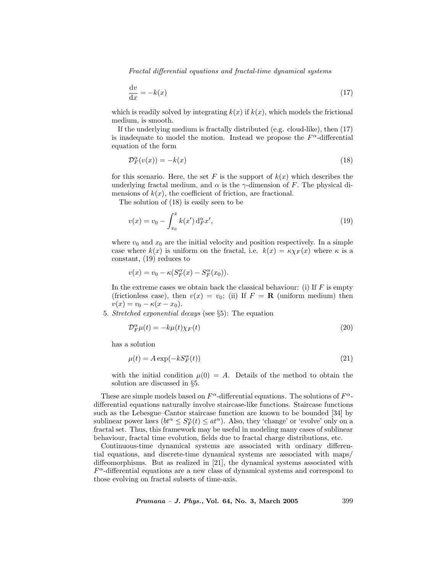$$
\frac{\mathrm{d}v}{\mathrm{d}x} = -k(x) \tag{17}
$$

which is readily solved by integrating  $k(x)$  if  $k(x)$ , which models the frictional medium, is smooth.

If the underlying medium is fractally distributed (e.g. cloud-like), then (17) is inadequate to model the motion. Instead we propose the  $F^{\alpha}$ -differential equation of the form

$$
\mathcal{D}_F^{\alpha}(v(x)) = -k(x) \tag{18}
$$

for this scenario. Here, the set F is the support of  $k(x)$  which describes the underlying fractal medium, and  $\alpha$  is the  $\gamma$ -dimension of F. The physical dimensions of  $k(x)$ , the coefficient of friction, are fractional.

The solution of (18) is easily seen to be

$$
v(x) = v_0 - \int_{x_0}^x k(x') \, d_F^\alpha x', \tag{19}
$$

where  $v_0$  and  $x_0$  are the initial velocity and position respectively. In a simple case where  $k(x)$  is uniform on the fractal, i.e.  $k(x) = \kappa \chi_F(x)$  where  $\kappa$  is a constant, (19) reduces to

$$
v(x) = v_0 - \kappa (S_F^{\alpha}(x) - S_F^{\alpha}(x_0)).
$$

In the extreme cases we obtain back the classical behaviour: (i) If  $F$  is empty (frictionless case), then  $v(x) = v_0$ ; (ii) If  $F = \mathbf{R}$  (uniform medium) then  $v(x) = v_0 - \kappa(x - x_0).$ 

5. Stretched exponential decays (see §5): The equation

$$
\mathcal{D}_F^{\alpha} \mu(t) = -k\mu(t)\chi_F(t) \tag{20}
$$

has a solution

$$
\mu(t) = A \exp(-kS_F^{\alpha}(t))
$$
\n(21)

with the initial condition  $\mu(0) = A$ . Details of the method to obtain the solution are discussed in §5.

These are simple models based on  $F^{\alpha}$ -differential equations. The solutions of  $F^{\alpha}$ differential equations naturally involve staircase-like functions. Staircase functions such as the Lebesgue–Cantor staircase function are known to be bounded [34] by sublinear power laws  $(bt^{\alpha} \leq S_F^{\alpha}(t) \leq at^{\alpha})$ . Also, they 'change' or 'evolve' only on a fractal set. Thus, this framework may be useful in modeling many cases of sublinear behaviour, fractal time evolution, fields due to fractal charge distributions, etc.

Continuous-time dynamical systems are associated with ordinary differential equations, and discrete-time dynamical systems are associated with maps/ diffeomorphisms. But as realized in [21], the dynamical systems associated with  $F^{\alpha}$ -differential equations are a new class of dynamical systems and correspond to those evolving on fractal subsets of time-axis.

Pramana – J. Phys., Vol. 64, No. 3, March 2005 399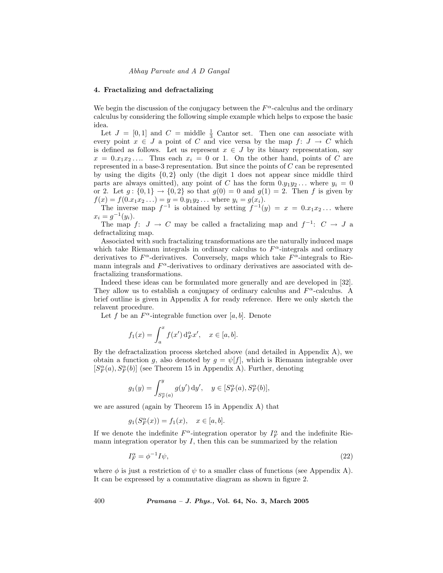#### 4. Fractalizing and defractalizing

We begin the discussion of the conjugacy between the  $F^{\alpha}$ -calculus and the ordinary calculus by considering the following simple example which helps to expose the basic idea.

Let  $J = [0, 1]$  and  $C =$  middle  $\frac{1}{3}$  Cantor set. Then one can associate with every point  $x \in J$  a point of C and vice versa by the map  $f: J \to C$  which is defined as follows. Let us represent  $x \in J$  by its binary representation, say  $x = 0.x_1x_2...$  Thus each  $x_i = 0$  or 1. On the other hand, points of C are represented in a base-3 representation. But since the points of  $C$  can be represented by using the digits {0, 2} only (the digit 1 does not appear since middle third parts are always omitted), any point of C has the form  $0.y_1y_2...$  where  $y_i = 0$ or 2. Let  $g: \{0,1\} \to \{0,2\}$  so that  $g(0) = 0$  and  $g(1) = 2$ . Then f is given by  $f(x) = f(0.x_1x_2...)=y=0.y_1y_2...$  where  $y_i = g(x_i)$ .

The inverse map  $f^{-1}$  is obtained by setting  $f^{-1}(y) = x = 0.x_1x_2...$  where  $x_i = g^{-1}(y_i).$ 

The map f:  $J \to C$  may be called a fractalizing map and  $f^{-1}$ :  $C \to J$  a defractalizing map.

Associated with such fractalizing transformations are the naturally induced maps which take Riemann integrals in ordinary calculus to  $F^{\alpha}$ -integrals and ordinary derivatives to  $F^{\alpha}$ -derivatives. Conversely, maps which take  $F^{\alpha}$ -integrals to Riemann integrals and  $F^{\alpha}$ -derivatives to ordinary derivatives are associated with defractalizing transformations.

Indeed these ideas can be formulated more generally and are developed in [32]. They allow us to establish a conjugacy of ordinary calculus and  $F^{\alpha}$ -calculus. A brief outline is given in Appendix A for ready reference. Here we only sketch the relavent procedure.

Let f be an  $F^{\alpha}$ -integrable function over [a, b]. Denote

$$
f_1(x) = \int_a^x f(x') d_F^{\alpha} x', \quad x \in [a, b].
$$

By the defractalization process sketched above (and detailed in Appendix A), we obtain a function g, also denoted by  $g = \psi[f]$ , which is Riemann integrable over  $[S_F^{\alpha}(a),S_F^{\alpha}(b)]$  (see Theorem 15 in Appendix A). Further, denoting

$$
g_1(y)=\int_{S_F^\alpha(a)}^y g(y')\,\mathrm{d}y',\quad y\in [S_F^\alpha(a),S_F^\alpha(b)],
$$

we are assured (again by Theorem 15 in Appendix A) that

$$
g_1(S_F^{\alpha}(x)) = f_1(x), \quad x \in [a, b].
$$

If we denote the indefinite  $F^{\alpha}$ -integration operator by  $I_F^{\alpha}$  and the indefinite Riemann integration operator by  $I$ , then this can be summarized by the relation

$$
I_F^{\alpha} = \phi^{-1} I \psi,\tag{22}
$$

where  $\phi$  is just a restriction of  $\psi$  to a smaller class of functions (see Appendix A). It can be expressed by a commutative diagram as shown in figure 2.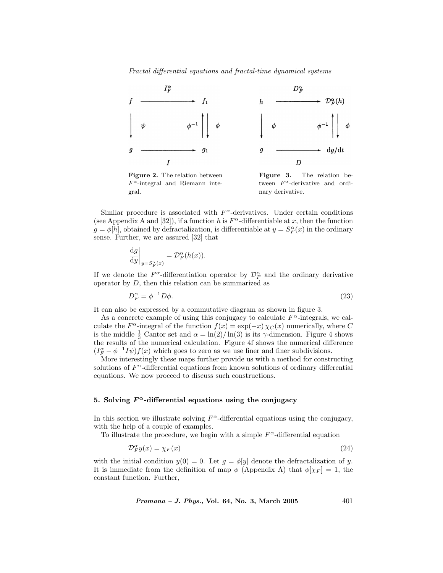

Figure 2. The relation between  $F^{\alpha}$ -integral and Riemann integral. Figure 3. The relation between  $F^{\alpha}$ -derivative and ordinary derivative.

Similar procedure is associated with  $F^{\alpha}$ -derivatives. Under certain conditions (see Appendix A and [32]), if a function h is  $F^{\alpha}$ -differentiable at x, then the function  $g = \phi[h]$ , obtained by defractalization, is differentiable at  $y = S_F^{\alpha}(x)$  in the ordinary sense. Further, we are assured [32] that

$$
\left. \frac{\mathrm{d}g}{\mathrm{d}y} \right|_{y = S_F^{\alpha}(x)} = \mathcal{D}_F^{\alpha}(h(x)).
$$

If we denote the  $F^{\alpha}$ -differentiation operator by  $\mathcal{D}_F^{\alpha}$  and the ordinary derivative operator by  $D$ , then this relation can be summarized as

$$
D_F^{\alpha} = \phi^{-1} D\phi. \tag{23}
$$

It can also be expressed by a commutative diagram as shown in figure 3.

As a concrete example of using this conjugacy to calculate  $F^{\alpha}$ -integrals, we calculate the  $F^{\alpha}$ -integral of the function  $f(x) = \exp(-x) \chi_C(x)$  numerically, where C is the middle  $\frac{1}{3}$  Cantor set and  $\alpha = \ln(2)/\ln(3)$  is its  $\gamma$ -dimension. Figure 4 shows the results of the numerical calculation. Figure 4f shows the numerical difference  $(I_F^{\alpha} - \phi^{-1}I\psi) f(x)$  which goes to zero as we use finer and finer subdivisions.

More interestingly these maps further provide us with a method for constructing solutions of  $F^{\alpha}$ -differential equations from known solutions of ordinary differential equations. We now proceed to discuss such constructions.

# 5. Solving  $F^{\alpha}$ -differential equations using the conjugacy

In this section we illustrate solving  $F^{\alpha}$ -differential equations using the conjugacy, with the help of a couple of examples.

To illustrate the procedure, we begin with a simple  $F^{\alpha}$ -differential equation

$$
\mathcal{D}_F^{\alpha} y(x) = \chi_F(x) \tag{24}
$$

with the initial condition  $y(0) = 0$ . Let  $g = \phi[y]$  denote the defractalization of y. It is immediate from the definition of map  $\phi$  (Appendix A) that  $\phi[\chi_F] = 1$ , the constant function. Further,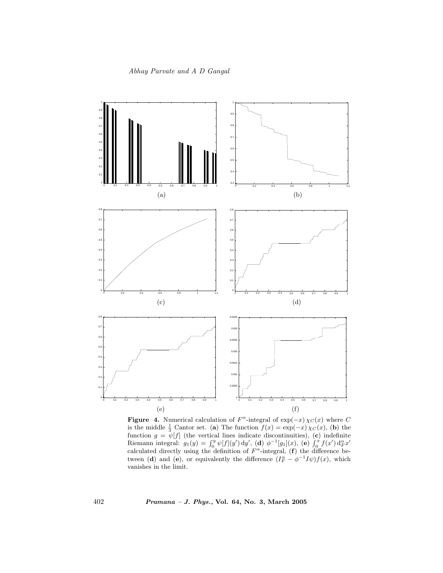

Figure 4. Numerical calculation of  $F^{\alpha}$ -integral of exp(-x)  $\chi_C(x)$  where C is the middle  $\frac{1}{3}$  Cantor set. (a) The function  $f(x) = \exp(-x) \chi_C(x)$ , (b) the function  $g = \psi[f]$  (the vertical lines indicate discontinuities), (c) indefinite Riemann integral:  $g_1(y) = \int_0^y \psi[f](y') \, dy',$  (d)  $\phi^{-1}[g_1](x)$ , (e)  $\int_0^x f(x') \, d_F^{\alpha} x'$ calculated directly using the definition of  $F^{\alpha}$ -integral, (f) the difference between (d) and (e), or equivalently the difference  $(I_F^{\alpha} - \phi^{-1}I\psi) f(x)$ , which vanishes in the limit.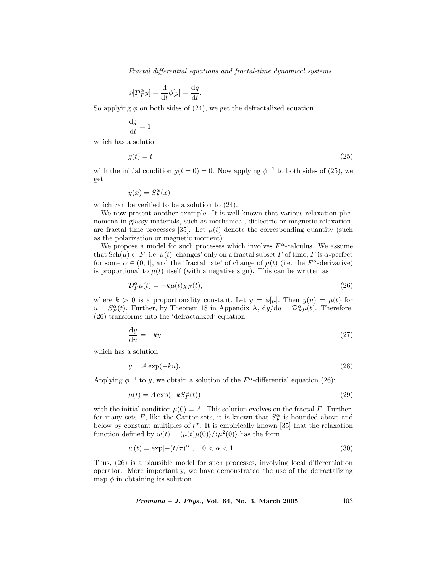$$
\phi[\mathcal{D}_F^\alpha y] = \frac{\mathrm{d}}{\mathrm{d}t} \phi[y] = \frac{\mathrm{d}g}{\mathrm{d}t}.
$$

So applying  $\phi$  on both sides of (24), we get the defractalized equation

$$
\frac{\mathrm{d}g}{\mathrm{d}t} = 1
$$

which has a solution

$$
g(t) = t \tag{25}
$$

with the initial condition  $g(t = 0) = 0$ . Now applying  $\phi^{-1}$  to both sides of (25), we get

$$
y(x) = S_F^{\alpha}(x)
$$

which can be verified to be a solution to (24).

We now present another example. It is well-known that various relaxation phenomena in glassy materials, such as mechanical, dielectric or magnetic relaxation, are fractal time processes [35]. Let  $\mu(t)$  denote the corresponding quantity (such as the polarization or magnetic moment).

We propose a model for such processes which involves  $F^{\alpha}$ -calculus. We assume that  $\text{Sch}(\mu) \subset F$ , i.e.  $\mu(t)$  'changes' only on a fractal subset F of time, F is  $\alpha$ -perfect for some  $\alpha \in (0,1]$ , and the 'fractal rate' of change of  $\mu(t)$  (i.e. the  $F^{\alpha}$ -derivative) is proportional to  $\mu(t)$  itself (with a negative sign). This can be written as

$$
\mathcal{D}_F^{\alpha} \mu(t) = -k\mu(t)\chi_F(t),\tag{26}
$$

where  $k > 0$  is a proportionality constant. Let  $y = \phi[\mu]$ . Then  $y(u) = \mu(t)$  for  $u = S_F^{\alpha}(t)$ . Further, by Theorem 18 in Appendix A,  $dy/\dot{d}u = \mathcal{D}_F^{\alpha} \mu(t)$ . Therefore, (26) transforms into the 'defractalized' equation

$$
\frac{\mathrm{d}y}{\mathrm{d}u} = -ky \tag{27}
$$

which has a solution

$$
y = A \exp(-ku). \tag{28}
$$

Applying  $\phi^{-1}$  to y, we obtain a solution of the  $F^{\alpha}$ -differential equation (26):

$$
\mu(t) = A \exp(-kS_F^{\alpha}(t))
$$
\n(29)

with the initial condition  $\mu(0) = A$ . This solution evolves on the fractal F. Further, for many sets F, like the Cantor sets, it is known that  $S_F^{\alpha}$  is bounded above and below by constant multiples of  $t^{\alpha}$ . It is empirically known [35] that the relaxation function defined by  $w(t) = \langle \mu(t)\mu(0)\rangle/\langle \mu^2(0)\rangle$  has the form

$$
w(t) = \exp[-(t/\tau)^{\alpha}], \quad 0 < \alpha < 1.
$$
\n
$$
(30)
$$

Thus, (26) is a plausible model for such processes, involving local differentiation operator. More importantly, we have demonstrated the use of the defractalizing map  $\phi$  in obtaining its solution.

*Pramana - J. Phys.*, Vol. 64, No. 3, March 2005 
$$
403
$$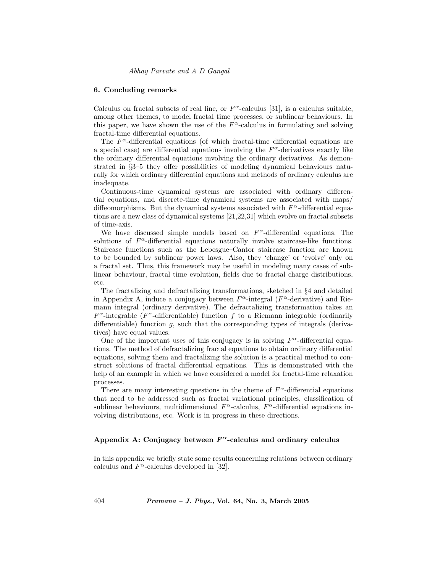#### 6. Concluding remarks

Calculus on fractal subsets of real line, or  $F^{\alpha}$ -calculus [31], is a calculus suitable, among other themes, to model fractal time processes, or sublinear behaviours. In this paper, we have shown the use of the  $F^{\alpha}$ -calculus in formulating and solving fractal-time differential equations.

The  $F^{\alpha}$ -differential equations (of which fractal-time differential equations are a special case) are differential equations involving the  $F^{\alpha}$ -derivatives exactly like the ordinary differential equations involving the ordinary derivatives. As demonstrated in §3–5 they offer possibilities of modeling dynamical behaviours naturally for which ordinary differential equations and methods of ordinary calculus are inadequate.

Continuous-time dynamical systems are associated with ordinary differential equations, and discrete-time dynamical systems are associated with maps/ diffeomorphisms. But the dynamical systems associated with  $F^{\alpha}$ -differential equations are a new class of dynamical systems [21,22,31] which evolve on fractal subsets of time-axis.

We have discussed simple models based on  $F^{\alpha}$ -differential equations. The solutions of  $F^{\alpha}$ -differential equations naturally involve staircase-like functions. Staircase functions such as the Lebesgue–Cantor staircase function are known to be bounded by sublinear power laws. Also, they 'change' or 'evolve' only on a fractal set. Thus, this framework may be useful in modeling many cases of sublinear behaviour, fractal time evolution, fields due to fractal charge distributions, etc.

The fractalizing and defractalizing transformations, sketched in §4 and detailed in Appendix A, induce a conjugacy between  $F^{\alpha}$ -integral ( $F^{\alpha}$ -derivative) and Riemann integral (ordinary derivative). The defractalizing transformation takes an  $F^{\alpha}$ -integrable ( $F^{\alpha}$ -differentiable) function f to a Riemann integrable (ordinarily differentiable) function  $q$ , such that the corresponding types of integrals (derivatives) have equal values.

One of the important uses of this conjugacy is in solving  $F^{\alpha}$ -differential equations. The method of defractalizing fractal equations to obtain ordinary differential equations, solving them and fractalizing the solution is a practical method to construct solutions of fractal differential equations. This is demonstrated with the help of an example in which we have considered a model for fractal-time relaxation processes.

There are many interesting questions in the theme of  $F^{\alpha}$ -differential equations that need to be addressed such as fractal variational principles, classification of sublinear behaviours, multidimensional  $F^{\alpha}$ -calculus,  $F^{\alpha}$ -differential equations involving distributions, etc. Work is in progress in these directions.

# Appendix A: Conjugacy between  $F^{\alpha}$ -calculus and ordinary calculus

In this appendix we briefly state some results concerning relations between ordinary calculus and  $F^{\alpha}$ -calculus developed in [32].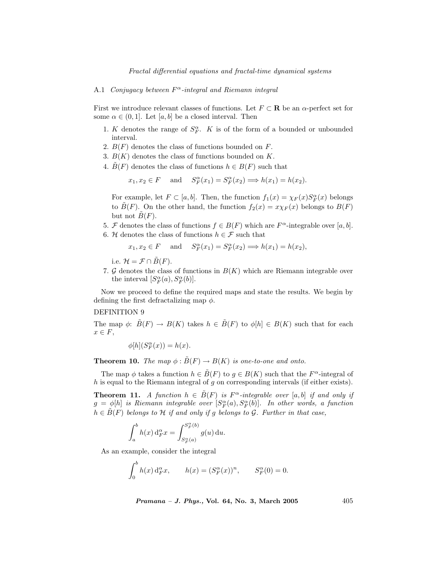### A.1 Conjugacy between  $F^{\alpha}$ -integral and Riemann integral

First we introduce relevant classes of functions. Let  $F \subset \mathbf{R}$  be an  $\alpha$ -perfect set for some  $\alpha \in (0,1]$ . Let  $[a, b]$  be a closed interval. Then

- 1. K denotes the range of  $S_F^{\alpha}$ . K is of the form of a bounded or unbounded interval.
- 2.  $B(F)$  denotes the class of functions bounded on  $F$ .
- 3.  $B(K)$  denotes the class of functions bounded on K.
- 4.  $\tilde{B}(F)$  denotes the class of functions  $h \in B(F)$  such that

$$
x_1, x_2 \in F
$$
 and  $S_F^{\alpha}(x_1) = S_F^{\alpha}(x_2) \Longrightarrow h(x_1) = h(x_2).$ 

For example, let  $F \subset [a, b]$ . Then, the function  $f_1(x) = \chi_F(x)S_F^{\alpha}(x)$  belongs to  $\tilde{B}(F)$ . On the other hand, the function  $f_2(x) = x\chi_F(x)$  belongs to  $B(F)$ but not  $\tilde{B}(F)$ .

- 5. F denotes the class of functions  $f \in B(F)$  which are  $F^{\alpha}$ -integrable over [a, b].
- 6. H denotes the class of functions  $h \in \mathcal{F}$  such that

$$
x_1, x_2 \in F
$$
 and  $S_F^{\alpha}(x_1) = S_F^{\alpha}(x_2) \Longrightarrow h(x_1) = h(x_2),$ 

i.e.  $\mathcal{H} = \mathcal{F} \cap \tilde{B}(F)$ .

7. G denotes the class of functions in  $B(K)$  which are Riemann integrable over the interval  $[S_F^{\alpha}(a), S_F^{\alpha}(b)].$ 

Now we proceed to define the required maps and state the results. We begin by defining the first defractalizing map  $\phi$ .

# DEFINITION 9

The map  $\phi: \tilde{B}(F) \to B(K)$  takes  $h \in \tilde{B}(F)$  to  $\phi[h] \in B(K)$  such that for each  $x \in F$ ,

$$
\phi[h](S_F^{\alpha}(x)) = h(x).
$$

**Theorem 10.** The map  $\phi : \tilde{B}(F) \to B(K)$  is one-to-one and onto.

The map  $\phi$  takes a function  $h \in \tilde{B}(F)$  to  $g \in B(K)$  such that the  $F^{\alpha}$ -integral of  $h$  is equal to the Riemann integral of  $g$  on corresponding intervals (if either exists).

**Theorem 11.** A function  $h \in \tilde{B}(F)$  is  $F^{\alpha}$ -integrable over [a, b] if and only if  $g = \phi[h]$  is Riemann integrable over  $[S_F^{\alpha}(a), S_F^{\alpha}(b)]$ . In other words, a function  $h \in \tilde{B}(F)$  belongs to H if and only if g belongs to G. Further in that case,

$$
\int_a^b h(x) d_F^{\alpha} x = \int_{S_F^{\alpha}(a)}^{S_F^{\alpha}(b)} g(u) du.
$$

As an example, consider the integral

$$
\int_0^b h(x) d_F^{\alpha} x, \qquad h(x) = (S_F^{\alpha}(x))^n, \qquad S_F^{\alpha}(0) = 0.
$$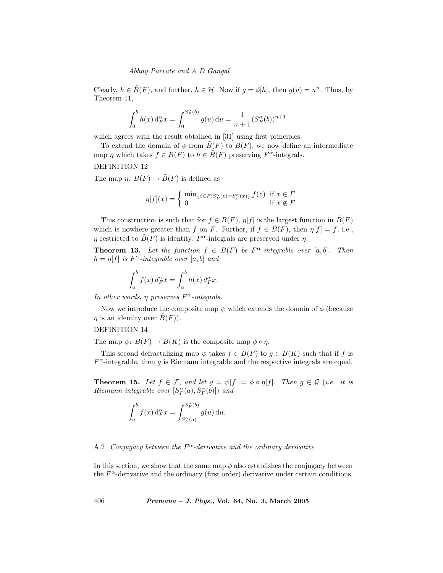Clearly,  $h \in \tilde{B}(F)$ , and further,  $h \in \mathcal{H}$ . Now if  $g = \phi[h]$ , then  $g(u) = u^n$ . Thus, by Theorem 11,

$$
\int_0^b h(x) d_F^{\alpha} x = \int_0^{S_F^{\alpha}(b)} g(u) du = \frac{1}{n+1} (S_F^{\alpha}(b))^{n+1}
$$

which agrees with the result obtained in [31] using first principles.

To extend the domain of  $\phi$  from  $B(F)$  to  $B(F)$ , we now define an intermediate map  $\eta$  which takes  $f \in B(F)$  to  $h \in B(F)$  preserving  $F^{\alpha}$ -integrals.

DEFINITION 12

The map  $\eta: B(F) \to \tilde{B}(F)$  is defined as

$$
\eta[f](x) = \begin{cases} \min_{\{z \in F : S_F^{\alpha}(z) = S_F^{\alpha}(x)\}} f(z) & \text{if } x \in F \\ 0 & \text{if } x \notin F. \end{cases}
$$

This construction is such that for  $f \in B(F)$ ,  $\eta[f]$  is the largest function in  $\tilde{B}(F)$ which is nowhere greater than f on F. Further, if  $f \in \tilde{B}(F)$ , then  $\eta[f] = f$ , i.e.,  $\eta$  restricted to  $\tilde{B}(F)$  is identity.  $F^{\alpha}$ -integrals are preserved under  $\eta$ .

**Theorem 13.** Let the function  $f \in B(F)$  be  $F^{\alpha}$ -integrable over [a, b]. Then  $h = \eta[f]$  is  $F^{\alpha}$ -integrable over [a, b] and

$$
\int_a^b f(x) d_F^{\alpha} x = \int_a^b h(x) d_F^{\alpha} x.
$$

In other words,  $\eta$  preserves  $F^{\alpha}$ -integrals.

Now we introduce the composite map  $\psi$  which extends the domain of  $\phi$  (because  $\eta$  is an identity over  $\hat{B}(F)$ ).

# DEFINITION 14

The map  $\psi: B(F) \to B(K)$  is the composite map  $\phi \circ \eta$ .

This second defractalizing map  $\psi$  takes  $f \in B(F)$  to  $g \in B(K)$  such that if f is  $F^{\alpha}$ -integrable, then g is Riemann integrable and the respective integrals are equal.

**Theorem 15.** Let  $f \in \mathcal{F}$ , and let  $g = \psi[f] = \phi \circ \eta[f]$ . Then  $g \in \mathcal{G}$  (i.e. it is  $Riemann\ integrable\ over\ [S_F^{\alpha}(a),S_F^{\alpha}(b)]\ )\ and$ 

$$
\int_a^b f(x) d_F^{\alpha} x = \int_{S_F^{\alpha}(a)}^{S_F^{\alpha}(b)} g(u) du.
$$

# A.2 Conjugacy between the  $F^{\alpha}$ -derivative and the ordinary derivative

In this section, we show that the same map  $\phi$  also establishes the conjugacy between the  $F^{\alpha}$ -derivative and the ordinary (first order) derivative under certain conditions.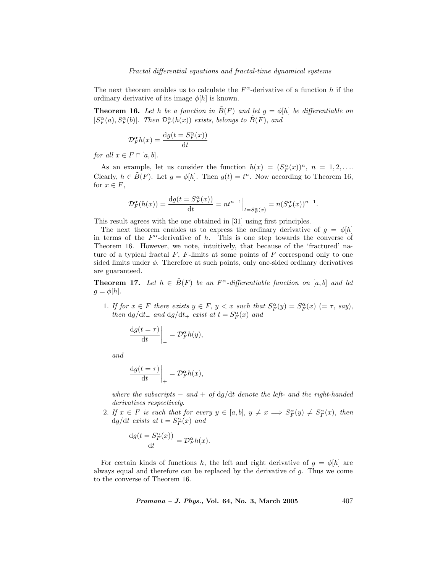The next theorem enables us to calculate the  $F^{\alpha}$ -derivative of a function h if the ordinary derivative of its image  $\phi[h]$  is known.

**Theorem 16.** Let h be a function in  $\tilde{B}(F)$  and let  $g = \phi[h]$  be differentiable on  $[S_F^{\alpha}(a), S_F^{\alpha}(b)]$ . Then  $\mathcal{D}_F^{\alpha}(h(x))$  exists, belongs to  $\tilde{B}(F)$ , and

$$
\mathcal{D}_F^\alpha h(x) = \frac{\mathrm{d} g(t=S_F^\alpha(x))}{\mathrm{d} t}
$$

for all  $x \in F \cap [a, b]$ .

As an example, let us consider the function  $h(x) = (S_F^{\alpha}(x))^n$ ,  $n = 1, 2, ...$ Clearly,  $h \in \tilde{B}(F)$ . Let  $g = \phi[h]$ . Then  $g(t) = t^n$ . Now according to Theorem 16, for  $x \in F$ ,

$$
\mathcal{D}_F^\alpha(h(x))=\frac{\mathrm{d} g(t=S_F^\alpha(x))}{\mathrm{d} t}=nt^{n-1}\Big|_{t=S_F^\alpha(x)}=n(S_F^\alpha(x))^{n-1}.
$$

This result agrees with the one obtained in [31] using first principles.

The next theorem enables us to express the ordinary derivative of  $g = \phi[h]$ in terms of the  $F^{\alpha}$ -derivative of h. This is one step towards the converse of Theorem 16. However, we note, intuitively, that because of the 'fractured' nature of a typical fractal  $F$ ,  $F$ -limits at some points of  $F$  correspond only to one sided limits under  $\phi$ . Therefore at such points, only one-sided ordinary derivatives are guaranteed.

**Theorem 17.** Let  $h \in \tilde{B}(F)$  be an  $F^{\alpha}$ -differentiable function on [a, b] and let  $g = \phi[h].$ 

1. If for  $x \in F$  there exists  $y \in F$ ,  $y < x$  such that  $S_F^{\alpha}(y) = S_F^{\alpha}(x)$   $(= \tau$ , say), then  $dg/dt_{-}$  and  $dg/dt_{+}$  exist at  $t = S_F^{\alpha}(x)$  and

$$
\frac{\mathrm{d}g(t=\tau)}{\mathrm{d}t}\bigg|_{-}=\mathcal{D}_F^{\alpha}h(y),
$$

and

$$
\frac{\mathrm{d}g(t=\tau)}{\mathrm{d}t}\bigg|_{+}=\mathcal{D}_F^{\alpha}h(x),
$$

where the subscripts  $-$  and  $+$  of dg/dt denote the left- and the right-handed derivatives respectively.

2. If  $x \in F$  is such that for every  $y \in [a, b]$ ,  $y \neq x \implies S_F^{\alpha}(y) \neq S_F^{\alpha}(x)$ , then  $dg/dt$  exists at  $t = S_F^{\alpha}(x)$  and

$$
\frac{\mathrm{d}g(t=S_F^{\alpha}(x))}{\mathrm{d}t}=\mathcal{D}_F^{\alpha}h(x).
$$

For certain kinds of functions h, the left and right derivative of  $g = \phi[h]$  are always equal and therefore can be replaced by the derivative of  $q$ . Thus we come to the converse of Theorem 16.

*Pramana - J. Phys.*, Vol. 64, No. 3, March 2005 
$$
407
$$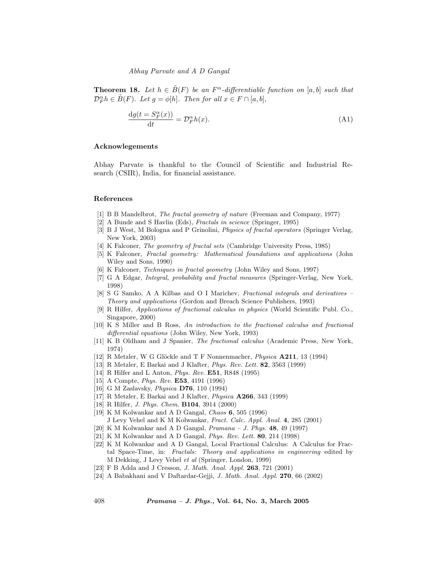**Theorem 18.** Let  $h \in \hat{B}(F)$  be an  $F^{\alpha}$ -differentiable function on [a, b] such that  $\mathcal{D}_F^{\alpha} h \in \tilde{B}(F)$ . Let  $g = \phi[h]$ . Then for all  $x \in F \cap [a, b]$ ,

$$
\frac{\mathrm{d}g(t = S_F^{\alpha}(x))}{\mathrm{d}t} = \mathcal{D}_F^{\alpha}(h(x)).
$$
\n(A1)

# Acknowlegements

Abhay Parvate is thankful to the Council of Scientific and Industrial Research (CSIR), India, for financial assistance.

#### References

- [1] B B Mandelbrot, The fractal geometry of nature (Freeman and Company, 1977)
- [2] A Bunde and S Havlin (Eds), Fractals in science (Springer, 1995)
- [3] B J West, M Bologna and P Grinolini, Physics of fractal operators (Springer Verlag, New York, 2003)
- [4] K Falconer, The geometry of fractal sets (Cambridge University Press, 1985)
- [5] K Falconer, Fractal geometry: Mathematical foundations and applications (John Wiley and Sons, 1990)
- [6] K Falconer, Techniques in fractal geometry (John Wiley and Sons, 1997)
- [7] G A Edgar, Integral, probability and fractal measures (Springer-Verlag, New York, 1998)
- [8] S G Samko, A A Kilbas and O I Marichev, Fractional integrals and derivatives Theory and applications (Gordon and Breach Science Publishers, 1993)
- [9] R Hilfer, Applications of fractional calculus in physics (World Scientific Publ. Co., Singapore, 2000)
- [10] K S Miller and B Ross, An introduction to the fractional calculus and fractional differential equations (John Wiley, New York, 1993)
- [11] K B Oldham and J Spanier, The fractional calculus (Academic Press, New York, 1974)
- [12] R Metzler, W G Glöckle and T F Nonnenmacher,  $Physica$  **A211**, 13 (1994)
- [13] R Metzler, E Barkai and J Klafter, Phys. Rev. Lett. 82, 3563 (1999)
- [14] R Hilfer and L Anton, Phys. Rev. E51, R848 (1995)
- [15] A Compte, *Phys. Rev.* **E53**, 4191 (1996)
- [16] G M Zaslavsky, Physica D76, 110 (1994)
- [17] R Metzler, E Barkai and J Klafter, Physica A266, 343 (1999)
- [18] R Hilfer, *J. Phys. Chem.* **B104**, 3914 (2000)
- [19] K M Kolwankar and A D Gangal, Chaos 6, 505 (1996) J Levy Vehel and K M Kolwankar, Fract. Calc. Appl. Anal. 4, 285 (2001)
- [20] K M Kolwankar and A D Gangal,  $Pramana J$ . Phys. 48, 49 (1997)
- [21] K M Kolwankar and A D Gangal, Phys. Rev. Lett. 80, 214 (1998)
- [22] K M Kolwankar and A D Gangal, Local Fractional Calculus: A Calculus for Fractal Space-Time, in: Fractals: Theory and applications in engineering edited by M Dekking, J Levy Vehel et al (Springer, London, 1999)
- [23] F B Adda and J Cresson, *J. Math. Anal. Appl.* **263**, 721 (2001)
- [24] A Babakhani and V Daftardar-Gejji, J. Math. Anal. Appl. 270, 66 (2002)